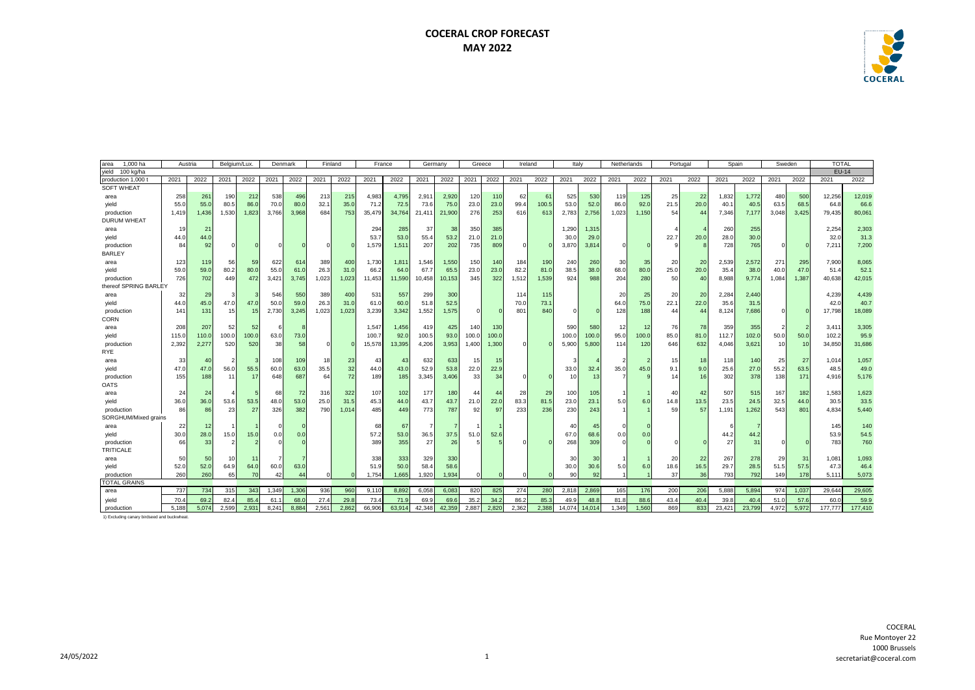## **COCERAL CROP FORECAST MAY 2022**



| 1,000 ha<br>area      | Belgium/Lux.<br>Denmark<br>Austria |                |       |       | Finland |       | France |                 |        | Germany |        | Greece          | Ireland         |       | Italy    |       | Netherlands |        | Portugal        |       |      | Spain | Sweden |        | TOTAL    |       |              |         |
|-----------------------|------------------------------------|----------------|-------|-------|---------|-------|--------|-----------------|--------|---------|--------|-----------------|-----------------|-------|----------|-------|-------------|--------|-----------------|-------|------|-------|--------|--------|----------|-------|--------------|---------|
| yield<br>100 kg/ha    |                                    |                |       |       |         |       |        |                 |        |         |        |                 |                 |       |          |       |             |        |                 |       |      |       |        |        |          |       | <b>EU-14</b> |         |
| production 1,000 t    | 2021                               | 2022           | 2021  | 2022  | 2021    | 2022  | 2021   | 2022            | 2021   | 2022    | 2021   | 2022            | 2021            | 2022  | 2021     | 2022  | 2021        | 2022   | 2021            | 2022  | 2021 | 2022  | 2021   | 2022   | 2021     | 2022  | 2021         | 2022    |
| <b>SOFT WHEAT</b>     |                                    |                |       |       |         |       |        |                 |        |         |        |                 |                 |       |          |       |             |        |                 |       |      |       |        |        |          |       |              |         |
| area                  | 258                                | 261            | 190   | 212   | 538     | 496   | 213    | 215             | 4,983  | 4,795   | 2,91   | 2,920           | 120             | 110   | 62       | 61    | 525         | 530    | 119             | 125   | 25   | 22    | 1,832  | 1,772  | 480      | 500   | 12,256       | 12,019  |
| yield                 | 55.0                               | 55.0           | 80.5  | 86.0  | 70.0    | 80.0  | 32.1   | 35.0            | 71.2   | 72.     | 73.6   | 75.0            | 23.0            | 23.0  | 99.4     | 100.5 | 53.0        | 52.0   | 86.0            | 92.0  | 21.5 | 20.0  | 40.1   | 40.5   | 63.5     | 68.5  | 64.8         | 66.6    |
| production            | 1,419                              | 1,436          | 1,530 | 1,823 | 3,766   | 3.968 | 684    | 753             | 35,479 | 34,764  | 21,411 | 21,900          | 276             | 253   | 616      | 613   | 2,783       | 2,756  | 1,023           | 1,150 | 54   | 44    | 7,346  | 7,177  | 3,048    | 3,425 | 79,435       | 80,061  |
| <b>DURUM WHEAT</b>    |                                    |                |       |       |         |       |        |                 |        |         |        |                 |                 |       |          |       |             |        |                 |       |      |       |        |        |          |       |              |         |
| area                  | 19                                 | 2 <sup>1</sup> |       |       |         |       |        |                 | 294    | 285     | 37     | 38              | 350             | 385   |          |       | 1,290       | 1,315  |                 |       |      |       | 260    | 255    |          |       | 2,254        | 2,303   |
| yield                 | 44.C                               | 44.0           |       |       |         |       |        |                 | 53.7   | 53.0    | 55.4   | 53.2            | 21.0            | 21.0  |          |       | 30.0        | 29.0   |                 |       | 22.7 | 20.0  | 28.0   | 30.0   |          |       | 32.0         | 31.3    |
| production            | 84                                 | 92             |       |       |         |       |        |                 | 1,579  | 1,51'   | 207    | 202             | 735             | 809   | $\Omega$ |       | 3,870       | 3,81   |                 |       |      |       | 728    | 765    | $\Omega$ |       | 7,211        | 7,200   |
| <b>BARLEY</b>         |                                    |                |       |       |         |       |        |                 |        |         |        |                 |                 |       |          |       |             |        |                 |       |      |       |        |        |          |       |              |         |
| area                  | 123                                | 119            | 56    | 59    | 622     | 614   | 389    | 40 <sub>C</sub> | 1,730  | 1,81    | 1,546  | 1,550           | 150             | 140   | 184      | 190   | 240         | 260    | 30              | 35    | 20   | 20    | 2,539  | 2,572  | 271      | 295   | 7,900        | 8,065   |
| yield                 | 59.                                | 59.0           | 80.2  | 80.0  | 55.0    | 61.0  | 26.3   | 31.0            | 66.2   | 64.0    | 67.7   | 65.5            | 23.0            | 23.0  | 82.2     | 81.0  | 38.5        | 38.0   | 68.C            | 80.0  | 25.0 | 20.0  | 35.4   | 38.C   | 40.0     | 47.0  | 51.4         | 52.1    |
| production            | 726                                | 702            | 449   | 472   | 3,421   | 3.745 | 1,023  | 1,023           | 11,453 | 11,590  | 10,458 | 10,153          | 345             | 322   | 1,512    | 1,539 | 924         | 988    | 204             | 280   | 50   | 40    | 8,988  | 9,774  | 1,084    | 1,387 | 40,638       | 42,015  |
| thereof SPRING BARLEY |                                    |                |       |       |         |       |        |                 |        |         |        |                 |                 |       |          |       |             |        |                 |       |      |       |        |        |          |       |              |         |
| area                  | 32                                 | 29             | ÷     |       | 546     | 550   | 389    | 400             | 531    | 557     | 299    | 30 <sup>c</sup> |                 |       | 114      | 115   |             |        | 20              | 25    | 20   | 20    | 2,284  | 2,440  |          |       | 4,239        | 4,439   |
| yield                 | 44.0                               | 45.0           | 47.0  | 47.0  | 50.0    | 59.0  | 26.3   | 31.0            | 61.0   | 60.0    | 51.8   | 52.5            |                 |       | 70.0     | 73.1  |             |        | 64.0            | 75.0  | 22.1 | 22.0  | 35.6   | 31.5   |          |       | 42.0         | 40.7    |
| production            | 141                                | 131            | 15    | 15    | 2,730   | 3,245 | 1,023  | 1,023           | 3,239  | 3,342   | 1,552  | 1,575           | $\Omega$        |       | 801      | 840   | $\Omega$    |        | 128             | 188   | 44   | 44    | 8,124  | 7,686  | $\Omega$ |       | 17,798       | 18,089  |
| <b>CORN</b>           |                                    |                |       |       |         |       |        |                 |        |         |        |                 |                 |       |          |       |             |        |                 |       |      |       |        |        |          |       |              |         |
| area                  | 208                                | 207            | 52    | 52    |         |       |        |                 | 1,547  | 1,456   | 419    | 425             | 140             | 130   |          |       | 590         | 580    | 12              | 12    | 76   | 78    | 359    | 355    |          |       | 3,41         | 3,305   |
| yield                 | 115.0                              | 110.0          | 100.0 | 100.0 | 63.0    | 73.0  |        |                 | 100.7  | 92.0    | 100.5  | 93.0            | 100.0           | 100.0 |          |       | 100.0       | 100.   | 95.0            | 100.0 | 85.0 | 81.0  | 112.7  | 102.0  | 50.0     | 50.0  | 102.2        | 95.9    |
| production            | 2,392                              | 2.277          | 520   | 520   | 38      | 58    |        |                 | 15,578 | 13,395  | 4,206  | 3,953           | 1,400           | 1,300 | $\Omega$ |       | 5,900       | 5,800  | 114             | 120   | 646  | 632   | 4,046  | 3,621  | 10       | 10    | 34,850       | 31,686  |
| <b>RYE</b>            |                                    |                |       |       |         |       |        |                 |        |         |        |                 |                 |       |          |       |             |        |                 |       |      |       |        |        |          |       |              |         |
| area                  | 33                                 | 4(             | -2    |       | 108     | 109   | 18     | 23              | 43     | 43      | 632    | 633             | 15 <sup>1</sup> | 15    |          |       |             |        |                 |       | 15   | 18    | 118    | 140    | 25       | 27    | 1,014        | 1,057   |
| yield                 | 47.C                               | 47.0           | 56.0  | 55.5  | 60.0    | 63.0  | 35.5   | 32              | 44.0   | 43.0    | 52.9   | 53.8            | 22.0            | 22.9  |          |       | 33.0        | 32.4   | 35.0            | 45.0  | 9.1  | 9.0   | 25.6   | 27.0   | 55.2     | 63.5  | 48.5         | 49.0    |
| production            | 155                                | 188            | 11    | 17    | 648     | 687   | 64     | 72              | 189    | 185     | 3,345  | 3,406           | 33              | 34    |          |       | 10          | 13     |                 |       | 14   | 16    | 302    | 378    | 138      | 171   | 4,916        | 5,176   |
| <b>OATS</b>           |                                    |                |       |       |         |       |        |                 |        |         |        |                 |                 |       |          |       |             |        |                 |       |      |       |        |        |          |       |              |         |
| area                  | 24                                 | 24             |       |       | 68      | 72    | 316    | 322             | 107    | 102     | 177    | 180             | 44              | 44    | 28       | 29    | 100         | 105    |                 |       | 40   | 42    | 507    | 515    | 167      | 182   | 1,583        | 1,623   |
| yield                 | 36.                                | 36.0           | 53.6  | 53.5  | 48.0    | 53.0  | 25.0   | 31.5            | 45.3   | 44.0    | 43.7   | 43.7            | 21.0            | 22.0  | 83.3     | 81.5  | 23.0        | 23.7   | 5.0             | 6.0   | 14.8 | 13.5  | 23.5   | 24.5   | 32.5     | 44.0  | 30.5         | 33.5    |
| production            | 86                                 | 86             | 23    | 27    | 326     | 382   | 790    | 1,014           | 485    | 449     | 773    | 787             | 92              | 97    | 233      | 236   | 230         | 243    |                 |       | 59   | 57    | 1,191  | 1,262  | 543      | 801   | 4,834        | 5,440   |
| SORGHUM/Mixed grains  |                                    |                |       |       |         |       |        |                 |        |         |        |                 |                 |       |          |       |             |        |                 |       |      |       |        |        |          |       |              |         |
| area                  | 22                                 | 12             |       |       |         |       |        |                 | 68     | 67      |        |                 | $\mathbf{1}$    |       |          |       | 40          | 45     |                 |       |      |       |        |        |          |       | 145          | 140     |
| yield                 | 30.0                               | 28.0           | 15.0  | 15.0  | 0.0     | 0.0   |        |                 | 57.2   | 53.0    | 36.5   | 37.5            | 51.0            | 52.6  |          |       | 67.0        | 68.6   | 0. <sub>C</sub> | 0.0   |      |       | 44.2   | 44.2   |          |       | 53.9         | 54.5    |
| production            | 66                                 | 33             |       |       |         |       |        |                 | 389    | 355     | 27     | 26              |                 |       |          |       | 268         | 309    |                 |       |      |       | 27     | 31     | $\Omega$ |       | 783          | 760     |
| TRITICALE             |                                    |                |       |       |         |       |        |                 |        |         |        |                 |                 |       |          |       |             |        |                 |       |      |       |        |        |          |       |              |         |
| area                  | 50                                 | 50             | 10    | 11    |         |       |        |                 | 338    | 333     | 329    | 33C             |                 |       |          |       | 30          | 30     |                 |       | 20   | 22    | 267    | 278    | 29       | 31    | 1,081        | 1,093   |
| yield                 | 52.0                               | 52.0           | 64.9  | 64.0  | 60.0    | 63.0  |        |                 | 51.9   | 50.0    | 58.4   | 58.6            |                 |       |          |       | 30.0        | 30.6   | 5.0             | 6.0   | 18.6 | 16.5  | 29.7   | 28.5   | 51.5     | 57.5  | 47.3         | 46.4    |
| production            | 260                                | 260            | 65    | 70    | 42      | 44    |        |                 | 1,754  | 1,665   | 1,920  | 1,934           | $\Omega$        |       |          |       | 90          | 92     |                 |       | 37   | 36    | 793    | 792    | 149      | 178   | 5,111        | 5,073   |
| <b>TOTAL GRAINS</b>   |                                    |                |       |       |         |       |        |                 |        |         |        |                 |                 |       |          |       |             |        |                 |       |      |       |        |        |          |       |              |         |
| area                  | 737                                | 734            | 315   | 343   | 1,349   | 1.306 | 936    | 960             | 9,110  | 8,892   | 6,058  | 6,083           | 820             | 825   | 274      | 280   | 2.818       | 2,869  | 165             | 176   | 200  | 206   | 5,888  | 5,894  | 974      | 1,037 | 29.644       | 29,605  |
| yield                 | 70.4                               | 69.2           | 82.4  | 85.4  | 61.1    | 68.0  | 27.4   | 29.8            | 73.4   | 71.9    | 69.9   | 69.6            | 35.2            | 34.2  | 86.2     | 85.3  | 49.9        | 48.8   | 81.8            | 88.6  | 43.4 | 40.4  | 39.8   | 40.4   | 51.0     | 57.6  | 60.0         | 59.9    |
| production            | 5.188                              | 5.074          | 2.599 | 2.931 | 8.241   | 8.884 | 2.561  | 2.862           | 66,906 | 63.914  | 42.348 | 42,359          | 2.887           | 2.820 | 2.362    | 2.388 | 14.074      | 14.014 | 1.349           | 1.560 | 869  | 833   | 23.421 | 23,799 | 4.972    | 5.972 | 177,777      | 177,410 |

1) Excluding canary birdseed and buckwheat.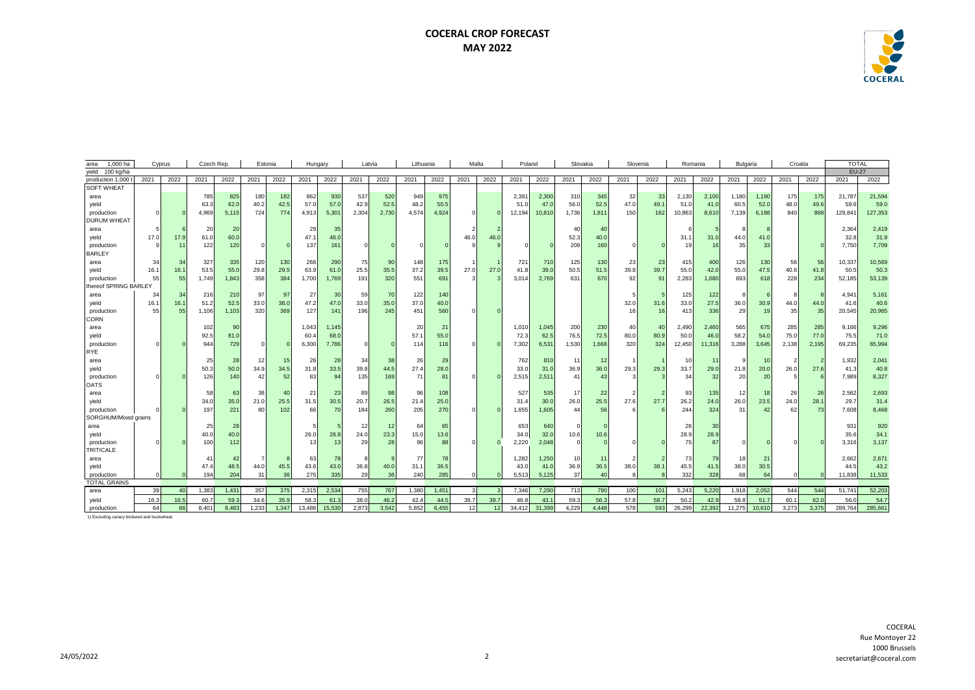## **COCERAL CROP FORECAST MAY 2022**



| area                  | 1,000 ha<br>Czech Rep.<br>Cyprus<br>Estonia |      |       |       |                | Hungary |        | Latvia |       | Lithuania |       | Malta |          | Poland   |        | Slovakia |       |       | Slovenia     |                | Romania | Bulgaria |        | Croatia |          | TOTAL |              |         |
|-----------------------|---------------------------------------------|------|-------|-------|----------------|---------|--------|--------|-------|-----------|-------|-------|----------|----------|--------|----------|-------|-------|--------------|----------------|---------|----------|--------|---------|----------|-------|--------------|---------|
| yield<br>100 kg/ha    |                                             |      |       |       |                |         |        |        |       |           |       |       |          |          |        |          |       |       |              |                |         |          |        |         |          |       | <b>EU-27</b> |         |
| production 1,000      | 2021                                        | 2022 | 2021  | 2022  | 2021           | 2022    | 2021   | 2022   | 2021  | 2022      | 2021  | 2022  | 2021     | 2022     | 2021   | 2022     | 2021  | 2022  | 2021         | 2022           | 2021    | 2022     | 2021   | 2022    | 2021     | 2022  | 2021         | 2022    |
| <b>SOFT WHEAT</b>     |                                             |      |       |       |                |         |        |        |       |           |       |       |          |          |        |          |       |       |              |                |         |          |        |         |          |       |              |         |
| area                  |                                             |      | 785   | 825   | 180            | 182     | 862    | 930    | 537   | 520       | 949   | 975   |          |          | 2,391  | 2,30     | 310   | 345   | 32           | -33            | 2,130   | 2,100    | 1,180  | 1.190   | 175      | 175   | 21.787       | 21,594  |
| yield                 |                                             |      | 63.3  | 62.C  | 40.2           | 42.5    | 57.0   | 57.0   | 42.9  | 52.5      | 48.2  | 50.5  |          |          | 51.0   | 47.0     | 56.0  | 52.5  | 47.0         | 49.1           | 51.0    | 41.0     | 60.5   | 52.0    | 48.0     | 49.6  | 59.6         | 59.0    |
| production            | $\Omega$                                    |      | 4,969 | 5,115 | 724            | 774     | 4,913  | 5,301  | 2,304 | 2,730     | 4,574 | 4,924 | $\Omega$ | $\Omega$ | 12,194 | 10,810   | 1,736 | 1,811 | 150          | 162            | 10,863  | 8,610    | 7,139  | 6,188   | 840      | 868   | 129,841      | 127,353 |
| <b>DURUM WHEAT</b>    |                                             |      |       |       |                |         |        |        |       |           |       |       |          |          |        |          |       |       |              |                |         |          |        |         |          |       |              |         |
| area                  |                                             |      | 20    | 20    |                |         | 29     | 35     |       |           |       |       |          |          |        |          | 40    | 40    |              |                |         |          |        |         |          |       | 2,364        | 2,419   |
| yield                 | 17.0                                        | 17.9 | 61.0  | 60.0  |                |         | 47.1   | 46.0   |       |           |       |       | 46.0     | 46.0     |        |          | 52.3  | 40.0  |              |                | 31.1    | 31.0     | 44.0   | 41.0    |          |       | 32.8         | 31.9    |
| production            |                                             | 11   | 122   | 120   | $\mathbf 0$    |         | 137    | 161    |       |           |       |       |          |          |        |          | 209   | 160   |              |                | 19      | 16       | 35     | 33      |          |       | 7.750        | 7,709   |
| <b>BARLEY</b>         |                                             |      |       |       |                |         |        |        |       |           |       |       |          |          |        |          |       |       |              |                |         |          |        |         |          |       |              |         |
| area                  | 34                                          | 34   | 327   | 335   | 120            | 130     | 266    | 290    | 75    | 90        | 148   | 175   |          |          | 721    | 710      | 125   | 130   | 23           | 23             | 415     | 400      | 126    | 130     | 56       | 56    | 10,337       | 10,569  |
| yield                 | 16.1                                        | 16.1 | 53.5  | 55.0  | 29.8           | 29.5    | 63.9   | 61.0   | 25.5  | 35.5      | 37.2  | 39.5  | 27.0     | 27.0     | 41.8   | 39.0     | 50.5  | 51.5  | 39.8         | 39.7           | 55.0    | 42.0     | 55.0   | 47.5    | 40.6     | 41.8  | 50.5         | 50.3    |
| production            | 55                                          | 55   | 1.749 | 1,843 | 358            | 384     | 1,700  | 1,769  | 191   | 320       | 551   | 691   |          |          | 3,014  | 2,769    | 631   | 670   | 92           | 91             | 2,283   | 1,680    | 693    | 618     | 228      | 234   | 52,185       | 53,139  |
| thereof SPRING BARLEY |                                             |      |       |       |                |         |        |        |       |           |       |       |          |          |        |          |       |       |              |                |         |          |        |         |          |       |              |         |
| area                  | 34                                          | 34   | 216   | 210   | 97             | 97      | 27     | 30     | 59    | 70        | 122   | 140   |          |          |        |          |       |       |              |                | 125     | 122      |        |         |          |       | 4,941        | 5,161   |
| yield                 | 16.1                                        | 16.1 | 51.2  | 52.5  | 33.0           | 38.0    | 47.2   | 47.0   | 33.0  | 35.0      | 37.0  | 40.0  |          |          |        |          |       |       | 32.0         | 31.6           | 33.0    | 27.5     | 36.0   | 30.9    | 44.0     | 44.0  | 41.6         | 40.6    |
| production            | 55                                          | 55   | 1,106 | 1,103 | 320            | 369     | 127    | 141    | 196   | 245       | 451   | 560   |          |          |        |          |       |       | 16           | 16             | 413     | 336      | 29     | 19      | 35       | 35    | 20,545       | 20,965  |
| <b>CORN</b>           |                                             |      |       |       |                |         |        |        |       |           |       |       |          |          |        |          |       |       |              |                |         |          |        |         |          |       |              |         |
| area                  |                                             |      | 102   | 90    |                |         | 1,043  | 1.145  |       |           | 20    | 21    |          |          | 1,010  | 1,045    | 200   | 230   | 40           | $\overline{a}$ | 2,490   | 2,460    | 565    | 675     | 285      | 285   | 9,166        | 9,296   |
| yield                 |                                             |      | 92.5  | 81.C  |                |         | 60.4   | 68.0   |       |           | 57.1  | 55.0  |          |          | 72.3   | 62.5     | 76.5  | 72.5  | 80.0         | 80.9           | 50.0    | 46.      | 58.2   | 54.0    | 75.0     | 77.0  | 75.5         | 71.0    |
| production            |                                             |      | 944   | 729   | $\mathbf 0$    |         | 6,300  | 7,786  |       |           | 114   | 116   |          |          | 7,302  | 6,531    | 1,530 | 1,668 | 320          | 324            | 12,450  | 11,316   | 3,288  | 3,645   | 2,138    | 2,195 | 69,235       | 65,994  |
| <b>RYE</b>            |                                             |      |       |       |                |         |        |        |       |           |       |       |          |          |        |          |       |       |              |                |         |          |        |         |          |       |              |         |
| area                  |                                             |      | 25    | 28    | 12             | 15      | 26     | 28     | 34    | 38        | 26    | 29    |          |          | 762    | 81       | 11    | 12    |              |                | -10     | 11       |        | 10      |          |       | 1,932        | 2,041   |
| yield                 |                                             |      | 50.3  | 50.0  | 34.9           | 34.5    | 31.8   | 33.5   | 39.8  | 44.5      | 27.4  | 28.0  |          |          | 33.0   | 31.0     | 36.9  | 36.0  | 29.3         | 29.3           | 33.7    | 29.0     | 21.8   | 20.0    | 26.0     | 27.6  | 41.3         | 40.8    |
| production            |                                             |      | 126   | 140   | 42             | 52      | 83     | 94     | 135   | 169       | 71    | 81    |          |          | 2,515  | 2,51     | 41    | 43    |              |                | 34      | 32       | 20     | 20      |          |       | 7,989        | 8,327   |
| <b>OATS</b>           |                                             |      |       |       |                |         |        |        |       |           |       |       |          |          |        |          |       |       |              |                |         |          |        |         |          |       |              |         |
| area                  |                                             |      | 58    | 63    | 38             | 40      | 21     | 23     | 89    | 98        | 96    | 108   |          |          | 527    | 535      | 17    | 22    |              |                | 93      | 135      | 12     | 18      | 26       | 26    | 2,562        | 2,693   |
| yield                 |                                             |      | 34.0  | 35.0  | 21.0           | 25.5    | 31.5   | 30.5   | 20.7  | 26.5      | 21.4  | 25.0  |          |          | 31.4   | 30.0     | 26.0  | 25.5  | 27.6         | 27.7           | 26.2    | 24.0     | 26.0   | 23.5    | 24.0     | 28.1  | 29.7         | 31.4    |
| production            |                                             |      | 197   | 221   | 80             | 102     | 66     | 70     | 184   | 260       | 205   | 270   |          |          | 1,655  | 1,605    | 44    | 56    |              |                | 244     | 324      | 31     | 42      | 62       | 73    | 7,608        | 8,468   |
| SORGHUM/Mixed grains  |                                             |      |       |       |                |         |        |        |       |           |       |       |          |          |        |          |       |       |              |                |         |          |        |         |          |       |              |         |
| area                  |                                             |      | 25    | 28    |                |         | 5      |        | 12    | 12        | 64    | 65    |          |          | 653    | 640      |       |       |              |                | 26      | 30       |        |         |          |       | 931          | 920     |
| yield                 |                                             |      | 40.0  | 40.0  |                |         | 26.0   | 26.8   | 24.0  | 23.3      | 15.0  | 13.6  |          |          | 34.0   | 32.0     | 10.6  | 10.6  |              |                | 28.9    | 28.9     |        |         |          |       | 35.6         | 34.1    |
| production            |                                             |      | 100   | 112   |                |         | 13     | 13     | 29    | 28        | 96    | 88    |          |          | 2,220  | 2,048    |       |       |              |                | 75      | 87       |        |         |          |       | 3,316        | 3,137   |
| <b>TRITICALE</b>      |                                             |      |       |       |                |         |        |        |       |           |       |       |          |          |        |          |       |       |              |                |         |          |        |         |          |       |              |         |
| area                  |                                             |      | 41    | 42    | $\overline{7}$ |         | 63     | 78     |       |           | 77    | 78    |          |          | 1.282  | 1,250    | 10    | 11    |              |                | 73      | 79       | 18     | 21      |          |       | 2,662        | 2.671   |
| yield                 |                                             |      | 47.4  | 48.5  | 44.0           | 45.5    | 43.6   | 43.0   | 36.8  | 40.0      | 31.1  | 36.5  |          |          | 43.0   | 41.0     | 36.9  | 36.5  | 38.0         | 38.1           | 45.5    | 41.5     | 38.0   | 30.5    |          |       | 44.5         | 43.2    |
| production            |                                             |      | 194   | 204   | 31             | 36      | 275    | 335    | 29    | 36        | 240   | 285   | n        |          | 5,513  | 5,125    | 37    | 40    | $\mathbf{R}$ |                | 332     | 328      | 68     | 64      | $\Omega$ |       | 11,838       | 11,533  |
| <b>TOTAL GRAINS</b>   |                                             |      |       |       |                |         |        |        |       |           |       |       |          |          |        |          |       |       |              |                |         |          |        |         |          |       |              |         |
| area                  | 39                                          | 40   | 1,383 | 1,431 | 357            | 375     | 2,315  | 2,534  | 755   | 767       | 1,380 | 1,451 |          |          | 7,346  | 7,290    | 713   | 790   | 100          | 101            | 5,243   | 5,220    | 1,918  | 2,052   | 544      | 544   | 51,741       | 52,203  |
| yield                 | 16.3                                        | 16.5 | 60.7  | 59.3  | 34.6           | 35.9    | 58.3   | 61.3   | 38.0  | 46.2      | 42.4  | 44.5  | 39.7     | 39.7     | 46.8   | 43.1     | 59.3  | 56.3  | 57.8         | 58.7           | 50.2    | 42.9     | 58.8   | 51.7    | 60.1     | 62.0  | 56.0         | 54.7    |
| production            | 64                                          | 66   | 8.401 | 8.483 | 1.233          | 1.347   | 13.486 | 15.530 | 2.873 | 3.542     | 5.852 | 6.455 | 12       | 12       | 34.412 | 31,399   | 4.229 | 4.448 | 578          | 593            | 26,299  | 22.392   | 11.275 | 10.610  | 3.273    | 3.375 | 289.764      | 285,661 |

1) Excluding canary birdseed and buckwheat.